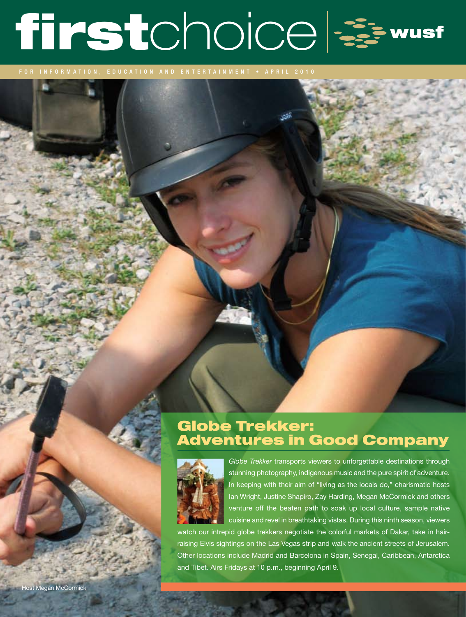# firstchoice &

for information, education and entertainment • A P RI L 2010

## Globe Trekker: Adventures in Good Company



*Globe Trekker* transports viewers to unforgettable destinations through stunning photography, indigenous music and the pure spirit of adventure. In keeping with their aim of "living as the locals do," charismatic hosts Ian Wright, Justine Shapiro, Zay Harding, Megan McCormick and others venture off the beaten path to soak up local culture, sample native cuisine and revel in breathtaking vistas. During this ninth season, viewers

watch our intrepid globe trekkers negotiate the colorful markets of Dakar, take in hairraising Elvis sightings on the Las Vegas strip and walk the ancient streets of Jerusalem. Other locations include Madrid and Barcelona in Spain, Senegal, Caribbean, Antarctica and Tibet. Airs Fridays at 10 p.m., beginning April 9.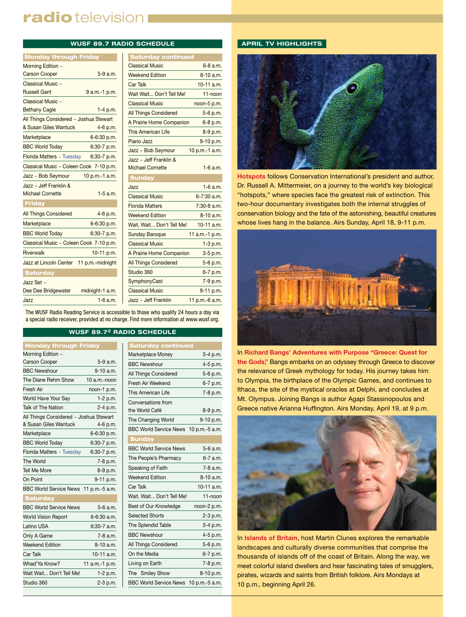# radio television I

#### **WUSF 89.7 RADIO SCHEDULE**

| <b>Monday through Friday</b>            |                 | S.             |
|-----------------------------------------|-----------------|----------------|
| Morning Edition ~                       |                 | Clas           |
| <b>Carson Cooper</b>                    | 5-9 a.m.        | Wee            |
| Classical Music ~                       |                 | Car            |
| <b>Russell Gant</b>                     | 9 a.m.-1 p.m.   | Wait           |
| Classical Music ~                       |                 | Clas           |
| <b>Bethany Cagle</b>                    | $1-4$ p.m.      | All T          |
| All Things Considered ~ Joshua Stewart  |                 |                |
| & Susan Giles Wantuck                   | 4-6 p.m.        | This           |
| Marketplace                             | 6-6:30 p.m.     | Piar           |
| <b>BBC World Today</b>                  | 6:30-7 p.m.     | Jazz           |
| Florida Matters ~ Tuesday               | 6:30-7 p.m.     | Jazz           |
| Classical Music ~ Coleen Cook 7-10 p.m. |                 | Micl           |
| Jazz ~ Bob Seymour                      | 10 p.m.-1 a.m.  | <b>St</b>      |
| Jazz ~ Jeff Franklin $&$                |                 | Jazz           |
| <b>Michael Cornette</b>                 | $1-5$ a.m.      | Clas           |
| <b>Friday</b>                           |                 | Flor           |
| <b>All Things Considered</b>            | 4-6 p.m.        | Wee            |
| Marketplace                             | 6-6:30 p.m.     | Wait           |
| <b>BBC World Today</b>                  | 6:30-7 p.m.     | Sun            |
| Classical Music ~ Coleen Cook 7-10 p.m. |                 | Clas           |
| <b>Riverwalk</b>                        | 10-11 p.m.      | A <sub>P</sub> |
| Jazz at Lincoln Center 11 p.m.-midnight |                 | All T          |
| <b>Saturday</b>                         |                 | Stud           |
| Jazz Set $\sim$                         |                 | Sym            |
| Dee Dee Bridgewater                     | midnight-1 a.m. | Clas           |
| Jazz                                    | $1-6$ a.m.      | Jazz           |

| <b>Saturday continued</b>                         |                 |
|---------------------------------------------------|-----------------|
| <b>Classical Music</b>                            | 6-8 a.m.        |
| <b>Weekend Edition</b>                            | 8-10 a.m.       |
| <b>Car Talk</b>                                   | $10-11$ a.m.    |
| Wait Wait Don't Tell Me!                          | 11-noon         |
| <b>Classical Music</b>                            | noon-5 p.m.     |
| <b>All Things Considered</b>                      | 5-6 p.m.        |
| A Prairie Home Companion                          | 6-8 p.m.        |
| <b>This American Life</b>                         | 8-9 p.m.        |
| Piano Jazz                                        | 9-10 p.m.       |
| Jazz ~ Bob Seymour                                | 10 p.m.-1 a.m.  |
| Jazz ~ Jeff Franklin &<br><b>Michael Cornette</b> | $1-6$ a.m.      |
| <b>Sunday</b>                                     |                 |
| Jazz                                              | $1-6$ a.m.      |
| <b>Classical Music</b>                            | $6 - 7:30$ a.m. |
| <b>Florida Matters</b>                            | $7:30-8$ a.m.   |
| <b>Weekend Edition</b>                            | 8-10 a.m.       |
| Wait, Wait Don't Tell Me!                         | $10-11$ a.m.    |
| <b>Sunday Baroque</b>                             | 11 a.m.-1 p.m.  |
| <b>Classical Music</b>                            | $1-3$ p.m.      |
| A Prairie Home Companion                          | $3-5$ p.m.      |
| <b>All Things Considered</b>                      | 5-6 p.m.        |
| Studio 360                                        | 6-7 p.m.        |
| SymphonyCast                                      | 7-9 p.m.        |
| <b>Classical Music</b>                            | 9-11 p.m.       |
| Jazz $\sim$ Jeff Franklin                         | 11 p.m.-6 a.m.  |
|                                                   |                 |

The WUSF Radio Reading Service is accessible to those who qualify 24 hours a day via a special radio receiver, provided at no charge. Find more information at www.wusf.org.

#### **WUSF 89.72 RADIO SCHEDULE**

| <b>Monday through Friday</b>           |                |  |  |
|----------------------------------------|----------------|--|--|
| Morning Edition ~                      |                |  |  |
| <b>Carson Cooper</b>                   | 5-9 a.m.       |  |  |
| <b>BBC Newshour</b>                    | 9-10 a.m.      |  |  |
| The Diane Rehm Show                    | 10 a.m.-noon   |  |  |
| Fresh Air                              | noon-1 p.m.    |  |  |
| World Have Your Say                    | $1-2 p.m.$     |  |  |
| Talk of The Nation                     | 2-4 p.m.       |  |  |
| All Things Considered ~ Joshua Stewart |                |  |  |
| & Susan Giles Wantuck                  | 4-6 p.m.       |  |  |
| Marketplace                            | 6-6:30 p.m.    |  |  |
| <b>BBC World Today</b>                 | 6:30-7 p.m.    |  |  |
| Florida Matters ~ Tuesday              | $6:30-7$ p.m.  |  |  |
| The World                              | 7-8 p.m.       |  |  |
| <b>Tell Me More</b>                    | 8-9 p.m.       |  |  |
| On Point                               | 9-11 p.m.      |  |  |
| BBC World Service News 11 p.m.-5 a.m.  |                |  |  |
| <b>Saturday</b>                        |                |  |  |
| <b>BBC World Service News</b>          | 5-6 a.m.       |  |  |
| <b>World Vision Report</b>             | 6-6:30 a.m.    |  |  |
| Latino USA                             | 6:30-7 a.m.    |  |  |
| Only A Game                            | $7-8$ a.m.     |  |  |
| <b>Weekend Edition</b>                 | 8-10 a.m.      |  |  |
| Car Talk                               | $10-11$ a.m.   |  |  |
| Whad'Ya Know?                          | 11 a.m.-1 p.m. |  |  |
| Wait Wait Don't Tell Me!               | $1-2 p.m.$     |  |  |
| Studio 360                             | 2-3 p.m.       |  |  |

| <b>Saturday continued</b>             |             |
|---------------------------------------|-------------|
| Marketplace Money                     | 3-4 p.m.    |
| <b>BBC Newshour</b>                   | 4-5 p.m.    |
| All Things Considered                 | 5-6 p.m.    |
| Fresh Air Weekend                     | 6-7 p.m.    |
| This American Life                    | 7-8 p.m.    |
| Conversations from                    |             |
| the World Café                        | 8-9 p.m.    |
| The Changing World                    | 9-10 p.m.   |
| BBC World Service News 10 p.m.-5 a.m. |             |
| <b>Sunday</b>                         |             |
| <b>BBC World Service News</b>         | 5-6 a.m.    |
| The People's Pharmacy                 | 6-7 a.m.    |
| Speaking of Faith                     | 7-8 a.m.    |
| <b>Weekend Edition</b>                | 8-10 a.m.   |
| Car Talk                              | 10-11 a.m.  |
| Wait, Wait Don't Tell Me!             | 11-noon     |
| Best of Our Knowledge                 | noon-2 p.m. |
| <b>Selected Shorts</b>                | $2-3$ p.m.  |
| The Splendid Table                    | $3-4$ p.m.  |
| <b>BBC Newshour</b>                   | 4-5 p.m.    |
| All Things Considered                 | 5-6 p.m.    |
| On the Media                          | 6-7 p.m.    |
| Living on Earth                       | 7-8 p.m.    |
| The Smiley Show                       | 8-10 p.m.   |
| BBC World Service News 10 p.m.-5 a.m. |             |
|                                       |             |

#### **APRIL TV HIGHLIGHTS**



**Hotspots** follows Conservation International's president and author, Dr. Russell A. Mittermeier, on a journey to the world's key biological "hotspots," where species face the greatest risk of extinction. This two-hour documentary investigates both the internal struggles of conservation biology and the fate of the astonishing, beautiful creatures whose lives hang in the balance. Airs Sunday, April 18, 9-11 p.m.



In **Richard Bangs' Adventures with Purpose "Greece: Quest for the Gods**,**"** Bangs embarks on an odyssey through Greece to discover the relevance of Greek mythology for today. His journey takes him to Olympia, the birthplace of the Olympic Games, and continues to Ithaca, the site of the mystical oracles at Delphi, and concludes at Mt. Olympus. Joining Bangs is author Agapi Stassinopoulos and Greece native Arianna Huffington. Airs Monday, April 19, at 9 p.m.



In **Islands of Britain**, host Martin Clunes explores the remarkable landscapes and culturally diverse communities that comprise the thousands of islands off of the coast of Britain. Along the way, we meet colorful island dwellers and hear fascinating tales of smugglers, pirates, wizards and saints from British folklore. Airs Mondays at 10 p.m., beginning April 26.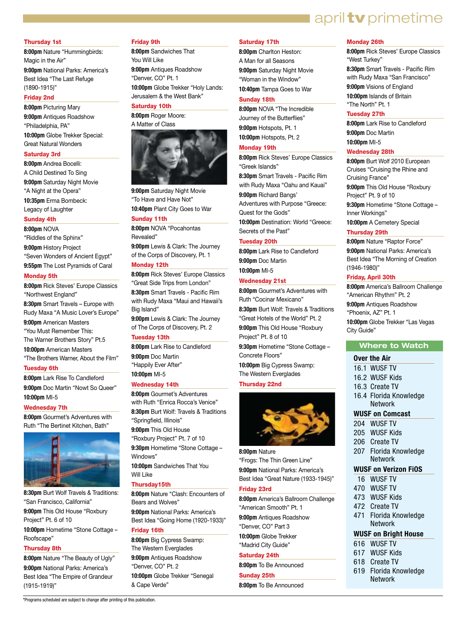### april **tv** primetime

#### Thursday 1st

**8:00pm** Nature "Hummingbirds: Magic in the Air" **9:00pm** National Parks: America's Best Idea "The Last Refuge (1890-1915)"

#### Friday 2nd

**8:00pm** Picturing Mary

**9:00pm** Antiques Roadshow "Philadelphia, PA" **10:00pm** Globe Trekker Special: Great Natural Wonders

#### Saturday 3rd

**8:00pm** Andrea Bocelli: A Child Destined To Sing **9:00pm** Saturday Night Movie

"A Night at the Opera" **10:35pm** Erma Bombeck: Legacy of Laughter

#### Sunday 4th

**8:00pm** NOVA "Riddles of the Sphinx" **9:00pm** History Project "Seven Wonders of Ancient Egypt" **9:55pm** The Lost Pyramids of Caral

#### Monday 5th

**8:00pm** Rick Steves' Europe Classics "Northwest England" **8:30pm** Smart Travels – Europe with Rudy Maxa "A Music Lover's Europe" **9:00pm** American Masters "You Must Remember This: The Warner Brothers Story" Pt.5 **10:00pm** American Masters "The Brothers Warner, About the Film"

#### Tuesday 6th

**8:00pm** Lark Rise To Candleford **9:00pm** Doc Martin "Nowt So Queer" **10:00pm** MI-5

#### Wednesday 7th

**8:00pm** Gourmet's Adventures with Ruth "The Bertinet Kitchen, Bath"



**8:30pm** Burt Wolf Travels & Traditions: "San Francisco, California" **9:00pm** This Old House "Roxbury Project" Pt. 6 of 10 **10:00pm** Hometime "Stone Cottage – Roofscape"

#### Thursday 8th

**8:00pm** Nature "The Beauty of Ugly" **9:00pm** National Parks: America's Best Idea "The Empire of Grandeur (1915-1919)"

\*Programs scheduled are subject to change after printing of this publication.

#### Friday 9th

**8:00pm** Sandwiches That You Will Like **9:00pm** Antiques Roadshow "Denver, CO" Pt. 1 **10:00pm** Globe Trekker "Holy Lands: Jerusalem & the West Bank"

#### Saturday 10th

**8:00pm** Roger Moore: A Matter of Class



**9:00pm** Saturday Night Movie "To Have and Have Not" **10:40pm** Plant City Goes to War

#### Sunday 11th

**8:00pm** NOVA "Pocahontas Revealed" **9:00pm** Lewis & Clark: The Journey of the Corps of Discovery, Pt. 1

#### Monday 12th

**8:00pm** Rick Steves' Europe Classics "Great Side Trips from London" **8:30pm** Smart Travels - Pacific Rim with Rudy Maxa "Maui and Hawaii's Big Island"

**9:00pm** Lewis & Clark: The Journey of The Corps of Discovery, Pt. 2

#### Tuesday 13th

**8:00pm** Lark Rise to Candleford **9:00pm** Doc Martin "Happily Ever After" **10:00pm** MI-5

#### Wednesday 14th

**8:00pm** Gourmet's Adventures with Ruth "Enrica Rocca's Venice" **8:30pm** Burt Wolf: Travels & Traditions "Springfield, Illinois" **9:00pm** This Old House "Roxbury Project" Pt. 7 of 10 **9:30pm** Hometime "Stone Cottage – Windows" **10:00pm** Sandwiches That You Will Like

#### Thursday15th

**8:00pm** Nature "Clash: Encounters of Bears and Wolves" **9:00pm** National Parks: America's

#### Best Idea "Going Home (1920-1933)" Friday 16th

**8:00pm** Big Cypress Swamp: The Western Everglades **9:00pm** Antiques Roadshow "Denver, CO" Pt. 2 **10:00pm** Globe Trekker "Senegal & Cape Verde"

#### Saturday 17th

**8:00pm** Charlton Heston: A Man for all Seasons **9:00pm** Saturday Night Movie

"Woman in the Window" **10:40pm** Tampa Goes to War

#### Sunday 18th

**8:00pm** NOVA "The Incredible Journey of the Butterflies" **9:00pm** Hotspots, Pt. 1

**10:00pm** Hotspots, Pt. 2

#### Monday 19th

**8:00pm** Rick Steves' Europe Classics "Greek Islands"

**8:30pm** Smart Travels - Pacific Rim with Rudy Maxa "Oahu and Kauai"

**9:00pm** Richard Bangs' Adventures with Purpose "Greece: Quest for the Gods"

**10:00pm** Destination: World "Greece:

Secrets of the Past"

#### Tuesday 20th

**8:00pm** Lark Rise to Candleford **9:00pm** Doc Martin **10:00pm** MI-5

#### Wednesday 21st

**8:00pm** Gourmet's Adventures with Ruth "Cocinar Mexicano" **8:30pm** Burt Wolf: Travels & Traditions

"Great Hotels of the World" Pt. 2 **9:00pm** This Old House "Roxbury

Project" Pt. 8 of 10 **9:30pm** Hometime "Stone Cottage –

Concrete Floors"

**10:00pm** Big Cypress Swamp: The Western Everglades

#### Thursday 22nd



**8:00pm** Nature "Frogs: The Thin Green Line" **9:00pm** National Parks: America's Best Idea "Great Nature (1933-1945)"

#### Friday 23rd

**8:00pm** America's Ballroom Challenge "American Smooth" Pt. 1

**9:00pm** Antiques Roadshow "Denver, CO" Part 3

**10:00pm** Globe Trekker "Madrid City Guide"

#### Saturday 24th

**8:00pm** To Be Announced Sunday 25th

**8:00pm** To Be Announced

#### Monday 26th

**8:00pm** Rick Steves' Europe Classics "West Turkey" **8:30pm** Smart Travels - Pacific Rim with Rudy Maxa "San Francisco" **9:00pm** Visions of England

**10:00pm** Islands of Britain "The North" Pt. 1

#### Tuesday 27th

**8:00pm** Lark Rise to Candleford **9:00pm** Doc Martin **10:00pm** MI-5

#### Wednesday 28th

**8:00pm** Burt Wolf 2010 European Cruises "Cruising the Rhine and Cruising France" **9:00pm** This Old House "Roxbury Project" Pt. 9 of 10 **9:30pm** Hometime "Stone Cottage – Inner Workings"

**10:00pm** A Cemetery Special

#### Thursday 29th

**8:00pm** Nature "Raptor Force" **9:00pm** National Parks: America's Best Idea "The Morning of Creation (1946-1980)"

#### Friday, April 30th

**8:00pm** America's Ballroom Challenge "American Rhythm" Pt. 2

**9:00pm** Antiques Roadshow "Phoenix, AZ" Pt. 1

**10:00pm** Globe Trekker "Las Vegas City Guide"

#### **Where to Watch**

#### **Over the Air**

- 16.1 WUSF TV
- 16.2 WUSF Kids
- 16.3 Create TV
- 16.4 Florida Knowledge Network

#### **WUSF on Comcast**

- 204 WUSF TV
- 205 WUSF Kids
- 206 Create TV
- 207 Florida Knowledge Network

#### **WUSF on Verizon FiOS**

- 16 WUSF TV
- 470 WUSF TV
- 473 WUSF Kids
- 472 Create TV 471 Florida Knowledge

616 WUSF TV 617 WUSF Kids 618 Create TV

 Network **WUSF on Bright House** 

619 Florida Knowledge Network